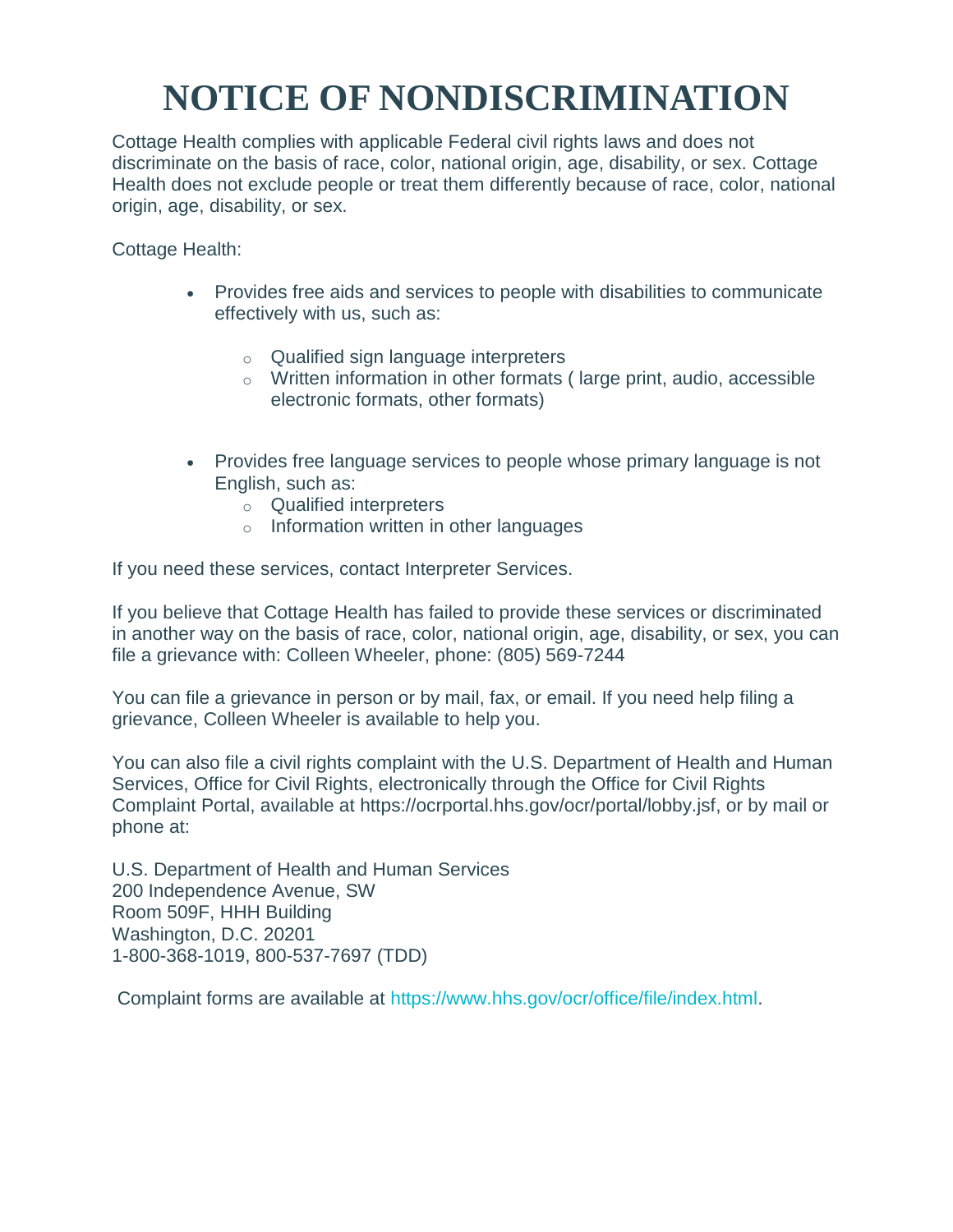## **NOTICE OF NONDISCRIMINATION**

Cottage Health complies with applicable Federal civil rights laws and does not discriminate on the basis of race, color, national origin, age, disability, or sex. Cottage Health does not exclude people or treat them differently because of race, color, national origin, age, disability, or sex.

Cottage Health:

- Provides free aids and services to people with disabilities to communicate effectively with us, such as:
	- o Qualified sign language interpreters
	- o Written information in other formats ( large print, audio, accessible electronic formats, other formats)
- Provides free language services to people whose primary language is not English, such as:
	- o Qualified interpreters
	- o Information written in other languages

If you need these services, contact Interpreter Services.

If you believe that Cottage Health has failed to provide these services or discriminated in another way on the basis of race, color, national origin, age, disability, or sex, you can file a grievance with: Colleen Wheeler, phone: (805) 569-7244

You can file a grievance in person or by mail, fax, or email. If you need help filing a grievance, Colleen Wheeler is available to help you.

You can also file a civil rights complaint with the U.S. Department of Health and Human Services, Office for Civil Rights, electronically through the Office for Civil Rights Complaint Portal, available at https://ocrportal.hhs.gov/ocr/portal/lobby.jsf, or by mail or phone at:

U.S. Department of Health and Human Services 200 Independence Avenue, SW Room 509F, HHH Building Washington, D.C. 20201 1-800-368-1019, 800-537-7697 (TDD)

Complaint forms are available at [https://www.hhs.gov/ocr/office/file/index.html.](https://www.hhs.gov/ocr/office/file/index.html)